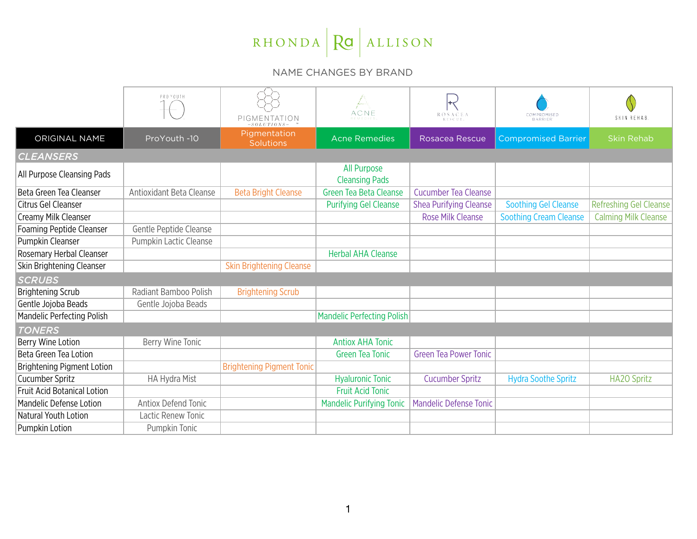## RHONDA RO ALLISON

## NAME CHANGES BY BRAND

|                                    | PROYOUTH                   | $PIGMENTATION -SOLUTION$         | ACNE                                        | <b>ROSACEA</b><br>RESCUE      | COMPROMISED<br><b>BARRIER</b> | SKIN REHAB.                 |  |  |
|------------------------------------|----------------------------|----------------------------------|---------------------------------------------|-------------------------------|-------------------------------|-----------------------------|--|--|
| ORIGINAL NAME                      | ProYouth -10               | Pigmentation<br><b>Solutions</b> | <b>Acne Remedies</b>                        | Rosacea Rescue                | <b>Compromised Barrier</b>    | <b>Skin Rehab</b>           |  |  |
| <b>CLEANSERS</b>                   |                            |                                  |                                             |                               |                               |                             |  |  |
| All Purpose Cleansing Pads         |                            |                                  | <b>All Purpose</b><br><b>Cleansing Pads</b> |                               |                               |                             |  |  |
| Beta Green Tea Cleanser            | Antioxidant Beta Cleanse   | <b>Beta Bright Cleanse</b>       | <b>Green Tea Beta Cleanse</b>               | <b>Cucumber Tea Cleanse</b>   |                               |                             |  |  |
| Citrus Gel Cleanser                |                            |                                  | <b>Purifying Gel Cleanse</b>                | Shea Purifying Cleanse        | <b>Soothing Gel Cleanse</b>   | Refreshing Gel Cleanse      |  |  |
| Creamy Milk Cleanser               |                            |                                  |                                             | <b>Rose Milk Cleanse</b>      | <b>Soothing Cream Cleanse</b> | <b>Calming Milk Cleanse</b> |  |  |
| <b>Foaming Peptide Cleanser</b>    | Gentle Peptide Cleanse     |                                  |                                             |                               |                               |                             |  |  |
| Pumpkin Cleanser                   | Pumpkin Lactic Cleanse     |                                  |                                             |                               |                               |                             |  |  |
| Rosemary Herbal Cleanser           |                            |                                  | <b>Herbal AHA Cleanse</b>                   |                               |                               |                             |  |  |
| Skin Brightening Cleanser          |                            | <b>Skin Brightening Cleanse</b>  |                                             |                               |                               |                             |  |  |
| <b>SCRUBS</b>                      |                            |                                  |                                             |                               |                               |                             |  |  |
| <b>Brightening Scrub</b>           | Radiant Bamboo Polish      | <b>Brightening Scrub</b>         |                                             |                               |                               |                             |  |  |
| Gentle Jojoba Beads                | Gentle Jojoba Beads        |                                  |                                             |                               |                               |                             |  |  |
| <b>Mandelic Perfecting Polish</b>  |                            |                                  | <b>Mandelic Perfecting Polish</b>           |                               |                               |                             |  |  |
| <b>TONERS</b>                      |                            |                                  |                                             |                               |                               |                             |  |  |
| Berry Wine Lotion                  | Berry Wine Tonic           |                                  | <b>Antiox AHA Tonic</b>                     |                               |                               |                             |  |  |
| Beta Green Tea Lotion              |                            |                                  | <b>Green Tea Tonic</b>                      | <b>Green Tea Power Tonic</b>  |                               |                             |  |  |
| Brightening Pigment Lotion         |                            | <b>Brightening Pigment Tonic</b> |                                             |                               |                               |                             |  |  |
| Cucumber Spritz                    | HA Hydra Mist              |                                  | <b>Hyaluronic Tonic</b>                     | <b>Cucumber Spritz</b>        | <b>Hydra Soothe Spritz</b>    | <b>HA2O Spritz</b>          |  |  |
| <b>Fruit Acid Botanical Lotion</b> |                            |                                  | <b>Fruit Acid Tonic</b>                     |                               |                               |                             |  |  |
| Mandelic Defense Lotion            | <b>Antiox Defend Tonic</b> |                                  | <b>Mandelic Purifying Tonic</b>             | <b>Mandelic Defense Tonic</b> |                               |                             |  |  |
| Natural Youth Lotion               | Lactic Renew Tonic         |                                  |                                             |                               |                               |                             |  |  |
| Pumpkin Lotion                     | Pumpkin Tonic              |                                  |                                             |                               |                               |                             |  |  |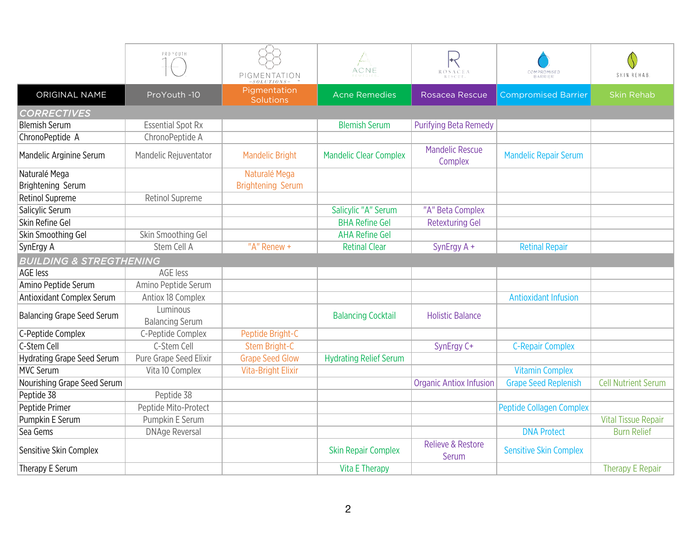|                                    | PROYOUTH                           | PIGMENTATION                     | ACNE                          | ROSACEA<br>RESCUE                 | COMPROMISED<br>BARRIER          | SKIN REHAB.                |  |  |
|------------------------------------|------------------------------------|----------------------------------|-------------------------------|-----------------------------------|---------------------------------|----------------------------|--|--|
| ORIGINAL NAME                      | ProYouth -10                       | Pigmentation<br><b>Solutions</b> | <b>Acne Remedies</b>          | Rosacea Rescue                    | <b>Compromised Barrier</b>      | <b>Skin Rehab</b>          |  |  |
| <b>CORRECTIVES</b>                 |                                    |                                  |                               |                                   |                                 |                            |  |  |
| <b>Blemish Serum</b>               | <b>Essential Spot Rx</b>           |                                  | <b>Blemish Serum</b>          | <b>Purifying Beta Remedy</b>      |                                 |                            |  |  |
| ChronoPeptide A                    | ChronoPeptide A                    |                                  |                               |                                   |                                 |                            |  |  |
| Mandelic Arginine Serum            | Mandelic Rejuventator              | <b>Mandelic Bright</b>           | <b>Mandelic Clear Complex</b> | <b>Mandelic Rescue</b><br>Complex | <b>Mandelic Repair Serum</b>    |                            |  |  |
| Naturalé Mega                      |                                    | Naturalé Mega                    |                               |                                   |                                 |                            |  |  |
| Brightening Serum                  |                                    | <b>Brightening Serum</b>         |                               |                                   |                                 |                            |  |  |
| <b>Retinol Supreme</b>             | Retinol Supreme                    |                                  |                               |                                   |                                 |                            |  |  |
| Salicylic Serum                    |                                    |                                  | Salicylic "A" Serum           | "A" Beta Complex                  |                                 |                            |  |  |
| Skin Refine Gel                    |                                    |                                  | <b>BHA Refine Gel</b>         | <b>Retexturing Gel</b>            |                                 |                            |  |  |
| Skin Smoothing Gel                 | Skin Smoothing Gel                 |                                  | <b>AHA Refine Gel</b>         |                                   |                                 |                            |  |  |
| SynErgy A                          | Stem Cell A                        | "A" Renew +                      | <b>Retinal Clear</b>          | SynErgy A +                       | <b>Retinal Repair</b>           |                            |  |  |
| <b>BUILDING &amp; STREGTHENING</b> |                                    |                                  |                               |                                   |                                 |                            |  |  |
| AGE less                           | AGE less                           |                                  |                               |                                   |                                 |                            |  |  |
| Amino Peptide Serum                | Amino Peptide Serum                |                                  |                               |                                   |                                 |                            |  |  |
| <b>Antioxidant Complex Serum</b>   | Antiox 18 Complex                  |                                  |                               |                                   | <b>Antioxidant Infusion</b>     |                            |  |  |
| <b>Balancing Grape Seed Serum</b>  | Luminous<br><b>Balancing Serum</b> |                                  | <b>Balancing Cocktail</b>     | <b>Holistic Balance</b>           |                                 |                            |  |  |
| C-Peptide Complex                  | C-Peptide Complex                  | Peptide Bright-C                 |                               |                                   |                                 |                            |  |  |
| C-Stem Cell                        | C-Stem Cell                        | Stem Bright-C                    |                               | SynErgy C+                        | <b>C-Repair Complex</b>         |                            |  |  |
| <b>Hydrating Grape Seed Serum</b>  | Pure Grape Seed Elixir             | <b>Grape Seed Glow</b>           | <b>Hydrating Relief Serum</b> |                                   |                                 |                            |  |  |
| <b>MVC Serum</b>                   | Vita 10 Complex                    | <b>Vita-Bright Elixir</b>        |                               |                                   | <b>Vitamin Complex</b>          |                            |  |  |
| Nourishing Grape Seed Serum        |                                    |                                  |                               | <b>Organic Antiox Infusion</b>    | <b>Grape Seed Replenish</b>     | <b>Cell Nutrient Serum</b> |  |  |
| Peptide 38                         | Peptide 38                         |                                  |                               |                                   |                                 |                            |  |  |
| Peptide Primer                     | Peptide Mito-Protect               |                                  |                               |                                   | <b>Peptide Collagen Complex</b> |                            |  |  |
| Pumpkin E Serum                    | Pumpkin E Serum                    |                                  |                               |                                   |                                 | <b>Vital Tissue Repair</b> |  |  |
| Sea Gems                           | <b>DNAge Reversal</b>              |                                  |                               |                                   | <b>DNA Protect</b>              | <b>Burn Relief</b>         |  |  |
| Sensitive Skin Complex             |                                    |                                  | <b>Skin Repair Complex</b>    | Relieve & Restore<br>Serum        | <b>Sensitive Skin Complex</b>   |                            |  |  |
| Therapy E Serum                    |                                    |                                  | Vita E Therapy                |                                   |                                 | <b>Therapy E Repair</b>    |  |  |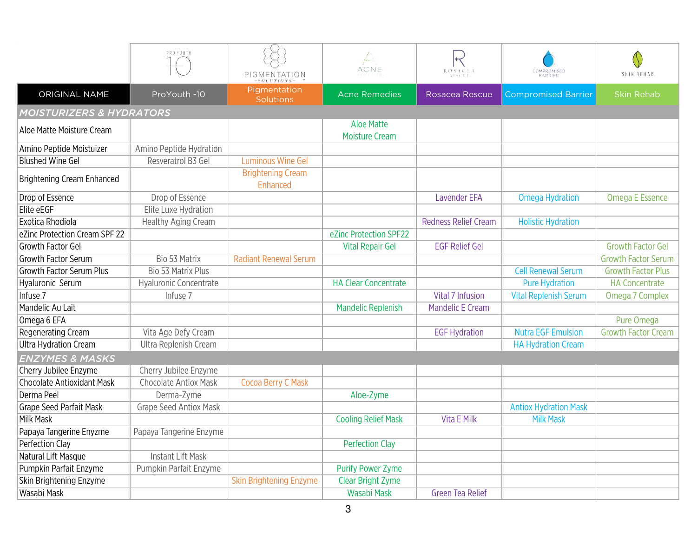|                                   | PROYOUTH                      | PIGMENTATION                                  | Jacques Salvagne<br>1990<br>ACNE<br>REMEDIES | <b>ROSACEA</b>              | COMPROMISED                  | N<br>SKIN REHAB            |  |  |
|-----------------------------------|-------------------------------|-----------------------------------------------|----------------------------------------------|-----------------------------|------------------------------|----------------------------|--|--|
| ORIGINAL NAME                     | ProYouth -10                  | SOLUTIONS<br>Pigmentation<br><b>Solutions</b> | <b>Acne Remedies</b>                         | Rosacea Rescue              | <b>Compromised Barrier</b>   | <b>Skin Rehab</b>          |  |  |
|                                   | MOISTURIZERS & HYDRATORS      |                                               |                                              |                             |                              |                            |  |  |
| Aloe Matte Moisture Cream         |                               |                                               | <b>Aloe Matte</b><br><b>Moisture Cream</b>   |                             |                              |                            |  |  |
| Amino Peptide Moistuizer          | Amino Peptide Hydration       |                                               |                                              |                             |                              |                            |  |  |
| <b>Blushed Wine Gel</b>           | Resveratrol B3 Gel            | <b>Luminous Wine Gel</b>                      |                                              |                             |                              |                            |  |  |
| <b>Brightening Cream Enhanced</b> |                               | <b>Brightening Cream</b><br>Enhanced          |                                              |                             |                              |                            |  |  |
| Drop of Essence                   | Drop of Essence               |                                               |                                              | <b>Lavender EFA</b>         | <b>Omega Hydration</b>       | <b>Omega E Essence</b>     |  |  |
| Elite eEGF                        | Elite Luxe Hydration          |                                               |                                              |                             |                              |                            |  |  |
| Exotica Rhodiola                  | <b>Healthy Aging Cream</b>    |                                               |                                              | <b>Redness Relief Cream</b> | <b>Holistic Hydration</b>    |                            |  |  |
| eZinc Protection Cream SPF 22     |                               |                                               | eZinc Protection SPF22                       |                             |                              |                            |  |  |
| <b>Growth Factor Gel</b>          |                               |                                               | <b>Vital Repair Gel</b>                      | <b>EGF Relief Gel</b>       |                              | <b>Growth Factor Gel</b>   |  |  |
| <b>Growth Factor Serum</b>        | Bio 53 Matrix                 | <b>Radiant Renewal Serum</b>                  |                                              |                             |                              | <b>Growth Factor Serum</b> |  |  |
| <b>Growth Factor Serum Plus</b>   | <b>Bio 53 Matrix Plus</b>     |                                               |                                              |                             | <b>Cell Renewal Serum</b>    | <b>Growth Factor Plus</b>  |  |  |
| Hyaluronic Serum                  | Hyaluronic Concentrate        |                                               | <b>HA Clear Concentrate</b>                  |                             | <b>Pure Hydration</b>        | <b>HA Concentrate</b>      |  |  |
| Infuse 7                          | Infuse 7                      |                                               |                                              | <b>Vital 7 Infusion</b>     | <b>Vital Replenish Serum</b> | Omega 7 Complex            |  |  |
| Mandelic Au Lait                  |                               |                                               | <b>Mandelic Replenish</b>                    | <b>Mandelic E Cream</b>     |                              |                            |  |  |
| Omega 6 EFA                       |                               |                                               |                                              |                             |                              | Pure Omega                 |  |  |
| Regenerating Cream                | Vita Age Defy Cream           |                                               |                                              | <b>EGF Hydration</b>        | <b>Nutra EGF Emulsion</b>    | <b>Growth Factor Cream</b> |  |  |
| <b>Ultra Hydration Cream</b>      | Ultra Replenish Cream         |                                               |                                              |                             | <b>HA Hydration Cream</b>    |                            |  |  |
| <b>ENZYMES &amp; MASKS</b>        |                               |                                               |                                              |                             |                              |                            |  |  |
| Cherry Jubilee Enzyme             | Cherry Jubilee Enzyme         |                                               |                                              |                             |                              |                            |  |  |
| <b>Chocolate Antioxidant Mask</b> | <b>Chocolate Antiox Mask</b>  | Cocoa Berry C Mask                            |                                              |                             |                              |                            |  |  |
| Derma Peel                        | Derma-Zyme                    |                                               | Aloe-Zyme                                    |                             |                              |                            |  |  |
| <b>Grape Seed Parfait Mask</b>    | <b>Grape Seed Antiox Mask</b> |                                               |                                              |                             | <b>Antiox Hydration Mask</b> |                            |  |  |
| Milk Mask                         |                               |                                               | <b>Cooling Relief Mask</b>                   | Vita E Milk                 | <b>Milk Mask</b>             |                            |  |  |
| Papaya Tangerine Enyzme           | Papaya Tangerine Enzyme       |                                               |                                              |                             |                              |                            |  |  |
| Perfection Clay                   |                               |                                               | <b>Perfection Clay</b>                       |                             |                              |                            |  |  |
| Natural Lift Masque               | Instant Lift Mask             |                                               |                                              |                             |                              |                            |  |  |
| Pumpkin Parfait Enzyme            | Pumpkin Parfait Enzyme        |                                               | <b>Purify Power Zyme</b>                     |                             |                              |                            |  |  |
| Skin Brightening Enzyme           |                               | <b>Skin Brightening Enzyme</b>                | <b>Clear Bright Zyme</b>                     |                             |                              |                            |  |  |
| Wasabi Mask                       |                               |                                               | Wasabi Mask                                  | <b>Green Tea Relief</b>     |                              |                            |  |  |